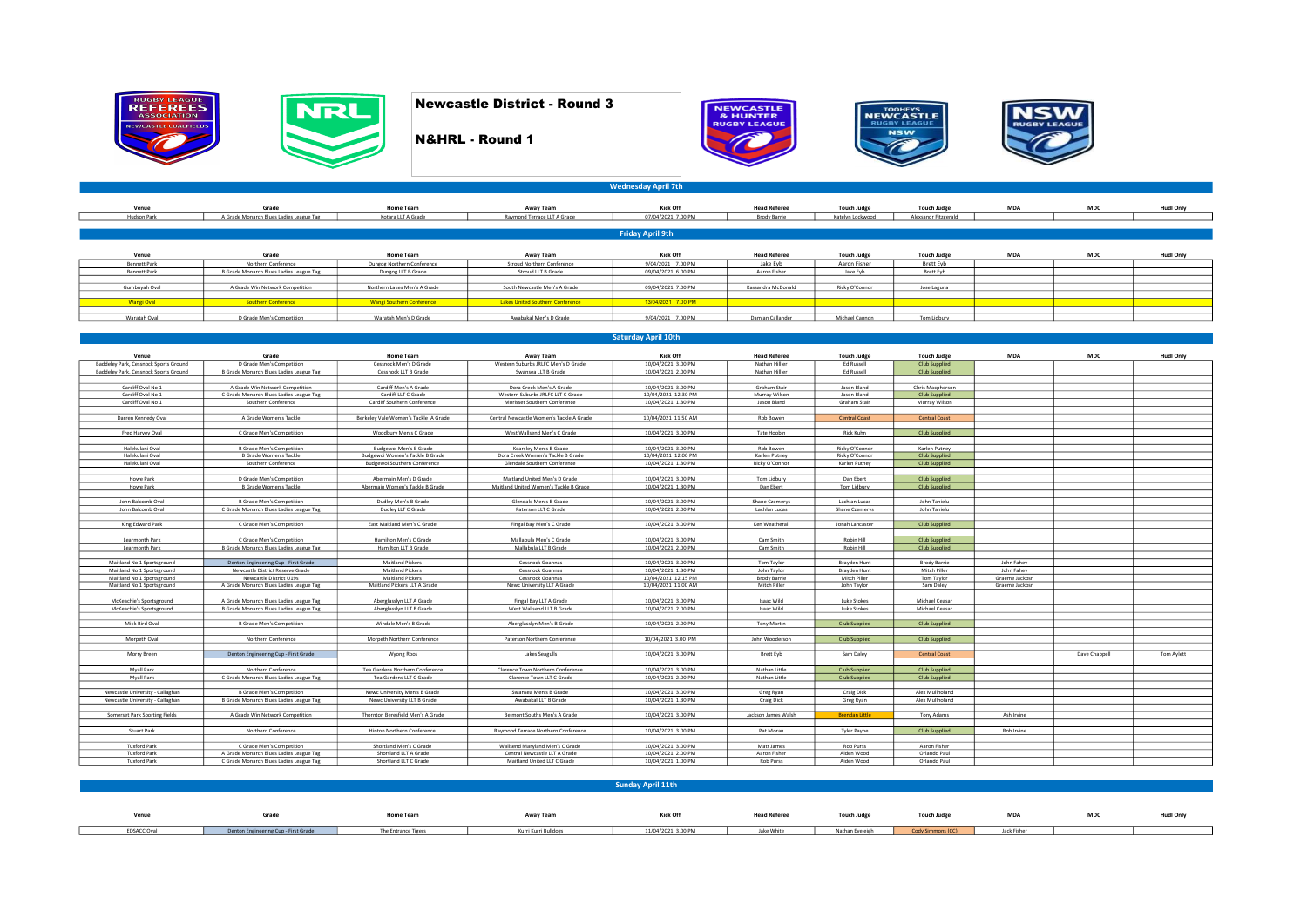









Venue Gradie HudilOnly HomeTeam AlwayTeam MucLet (Kooff Heal Refere TouchJudge TouchJudge MDA MDC HudilOnly<br>Hudson Park | AGrade Monarch BuesLadesLeagueTag KotareLLTAGrade | Rammond TerraceLLTAGrade | 07/04/2021∶7.00 PM B Venue Grade Home Team Away Team Kick Off Head Referee Touch Judge Touch Judge MDA MDC Hudl Only BennettPark Nordhen Conference Memorial Dungog Nordhen Conference Memorial Strout Nordhen Conference – 9/0-2/021 7.00 PM Jan Develt Devel Develt Develt Develt Develt Develt Develt Devel<br>BennettPark BGrade Monamof Dungog D Gumbuyah Oval A Grade Win Network Competition Northern Lakes Men's A Grade South Newcastle Men's A Grade 09/04/2021 7.00 PM Kassandra McDonald Ricky O'Connor Jose Laguna Wangi Oval Southern Conference National Southern Conference Lakes United Southern Conference 13/04/2021 7.00 PM Waratah Oval D Grade Men's Competition Waratah Men's D Grade Awabakal Men's D Grade 9/04/2021 7.00 PM Damian Callander Michael Cannon Tom Lidbury Friday April 9th NEW NEW REAL ROUND 3<br>
NAHRL - Round 1<br>
Wednesday April 20.<br>
Wednesday April 20.<br>
Wednesday April 20.<br>
Wednesday April 20.<br>
Wednesday April 20.<br>
Wednesday April 20.<br>
Wednesday April 20.<br>
Wednesday April 20.<br>
Wednesday April Newcastle District - Round 3<br>
N&HRL - Round 1<br>
Wednesday April 7th<br>
Wednesday April 7th<br>
New Team<br>
New Team<br>
New Team<br>
New Team<br>
Friday April 9th<br>
Friday April 9th<br>
New Team<br>
New Team<br>
Friday April 9th<br>
New Team<br>
New Team<br>

Wednesday April 7th

## Saturday April 10th

| Venue                                 | Grade                                                                | <b>Home Team</b>                               | Away Team                                | Kick Off                                 | <b>Head Referee</b>    | <b>Touch Judge</b>    | <b>Touch Judge</b>   | <b>MDA</b>     | <b>MDC</b>    | <b>Hudl Only</b> |
|---------------------------------------|----------------------------------------------------------------------|------------------------------------------------|------------------------------------------|------------------------------------------|------------------------|-----------------------|----------------------|----------------|---------------|------------------|
| Baddeley Park, Cessnock Sports Ground | D Grade Men's Competition                                            | Cessnock Men's D Grade                         | Western Suburbs JRLFC Men's D Grade      | 10/04/2021 3.00 PM                       | Nathan Hillier         | <b>Ed Russell</b>     | <b>Club Supplied</b> |                |               |                  |
| Baddeley Park, Cessnock Sports Ground | B Grade Monarch Blues Ladies League Tag                              | Cessnock LLT B Grade                           | Swansea LLT B Grade                      | 10/04/2021 2.00 PM                       | Nathan Hillier         | <b>Ed Russell</b>     | <b>Club Supplied</b> |                |               |                  |
|                                       |                                                                      |                                                |                                          |                                          |                        |                       |                      |                |               |                  |
| Cardiff Oval No 1                     | A Grade Win Network Competition                                      | Cardiff Men's A Grade                          | Dora Creek Men's A Grade                 | 10/04/2021 3.00 PM                       | Graham Stair           | Jason Bland           | Chris Macpherson     |                |               |                  |
| Cardiff Oval No 1                     | C Grade Monarch Blues Ladies League Tag                              | Cardiff LLT C Grade                            | Western Suburbs JRLFC LLT C Grade        | 10/04/2021 12.30 PM                      | Murray Wilson          | Jason Bland           | <b>Club Supplied</b> |                |               |                  |
| Cardiff Oval No 1                     | Southern Conference                                                  | Cardiff Southern Conference                    | Morisset Southern Conference             | 10/04/2021 1.30 PM                       | Jason Bland            | Graham Stair          | Murray Wilson        |                |               |                  |
|                                       |                                                                      |                                                |                                          |                                          |                        |                       |                      |                |               |                  |
| Darren Kennedy Oval                   | A Grade Women's Tackle                                               | Berkeley Vale Women's Tackle A Grade           | Central Newcastle Women's Tackle A Grade | 10/04/2021 11.50 AM                      | Rob Bowen              | <b>Central Coast</b>  | <b>Central Coast</b> |                |               |                  |
|                                       |                                                                      |                                                |                                          |                                          |                        |                       |                      |                |               |                  |
| Fred Harvey Oval                      | C Grade Men's Competition                                            | Woodbury Men's C Grade                         | West Wallsend Men's C Grade              | 10/04/2021 3.00 PM                       | <b>Tate Hoobin</b>     | <b>Rick Kuhn</b>      | Club Supplied        |                |               |                  |
|                                       |                                                                      |                                                |                                          |                                          |                        |                       |                      |                |               |                  |
| Halekulani Oval                       | <b>B Grade Men's Competition</b>                                     | Budgewoi Men's B Grade                         | Kearsley Men's B Grade                   | 10/04/2021 3.00 PM                       | Rob Bowen              | Ricky O'Connor        | Karlen Putney        |                |               |                  |
| Halekulani Oval                       | <b>B Grade Women's Tackle</b>                                        | Budgewoi Women's Tackle B Grade                | Dora Creek Women's Tackle B Grade        | 10/04/2021 12.00 PM                      | Karlen Putney          | Ricky O'Connor        | <b>Club Supplied</b> |                |               |                  |
| Halekulani Oval                       | Southern Conference                                                  | <b>Budgewoi Southern Conference</b>            | Glendale Southern Conference             | 10/04/2021 1.30 PM                       | Ricky O'Connor         | Karlen Putney         | Club Supplied        |                |               |                  |
|                                       |                                                                      |                                                |                                          |                                          |                        |                       |                      |                |               |                  |
| <b>Howe Park</b>                      | D Grade Men's Competition                                            | Abermain Men's D Grade                         | Maitland United Men's D Grade            | 10/04/2021 3.00 PM                       | Tom Lidbury            | Dan Ebert             | Club Supplied        |                |               |                  |
| Howe Park                             | <b>B Grade Women's Tackle</b>                                        | Abermain Women's Tackle B Grade                | Maitland United Women's Tackle B Grade   | 10/04/2021 1.30 PM                       | Dan Ebert              | Tom Lidbury           | Club Supplied        |                |               |                  |
|                                       |                                                                      |                                                |                                          |                                          |                        |                       |                      |                |               |                  |
| John Balcomb Oval                     | <b>B Grade Men's Competition</b>                                     | Dudley Men's B Grade                           | Glendale Men's B Grade                   | 10/04/2021 3.00 PM                       | Shane Czemerys         | Lachlan Lucas         | John Tanielu         |                |               |                  |
| John Balcomb Oval                     | C Grade Monarch Blues Ladies League Tag                              | Dudley LLT C Grade                             | Paterson LLT C Grade                     | 10/04/2021 2.00 PM                       | Lachlan Lucas          | Shane Czemerys        | John Tanielu         |                |               |                  |
|                                       |                                                                      |                                                |                                          |                                          |                        |                       |                      |                |               |                  |
| King Edward Park                      | C Grade Men's Competition                                            | East Maltland Men's C Grade                    | Fingal Bay Men's C Grade                 | 10/04/2021 3.00 PM                       | Ken Weatherall         | Jonah Lancaster       | Club Supplied        |                |               |                  |
|                                       |                                                                      |                                                | Mallabula Men's C Grade                  |                                          |                        | Robin Hill            |                      |                |               |                  |
| Learmonth Park<br>Learmonth Park      | C Grade Men's Competition<br>B Grade Monarch Blues Ladies League Tag | Hamilton Men's C Grade<br>Hamilton LLT B Grade | Mallabula LLT B Grade                    | 10/04/2021 3.00 PM<br>10/04/2021 2.00 PM | Cam Smith<br>Cam Smith | Robin Hill            | <b>Club Supplied</b> |                |               |                  |
|                                       |                                                                      |                                                |                                          |                                          |                        |                       | <b>Club Supplied</b> |                |               |                  |
| Maitland No 1 Sportsground            | Denton Engineering Cup - First Grade                                 | <b>Maitland Pickers</b>                        | Cessnock Goannas                         | 10/04/2021 3.00 PM                       | Tom Taylor             | Brayden Hunt          | <b>Brody Barrie</b>  | John Fahev     |               |                  |
| Maitland No 1 Sportsground            | Newcastle District Reserve Grade                                     | <b>Maitland Pickers</b>                        | Cessnock Goannas                         | 10/04/2021 1.30 PM                       | John Taylor            | Brayden Hunt          | Mitch Piller         | John Fahev     |               |                  |
| Maitland No 1 Sportsground            | Newcastle District U19s                                              | Maitland Pickers                               | Cessnock Goannas                         | 10/04/2021 12.15 PM                      | <b>Brody Barrie</b>    | Mitch Piller          | Tom Taylor           | Graeme Jackosn |               |                  |
| Maitland No 1 Sportsground            | A Grade Monarch Blues Ladies League Tag                              | Maitland Pickers LLT A Grade                   | Newc University LLT A Grade              | 10/04/2021 11.00 AM                      | Mitch Piller           | John Taylor           | Sam Daley            | Graeme Jackosn |               |                  |
|                                       |                                                                      |                                                |                                          |                                          |                        |                       |                      |                |               |                  |
| McKeachie's Sportsground              | A Grade Monarch Blues Ladies League Tag                              | Aberglasslyn LLT A Grade                       | Fingal Bay LLT A Grade                   | 10/04/2021 3.00 PM                       | <b>Isaac Wild</b>      | Luke Stokes           | Michael Ceasar       |                |               |                  |
| McKeachie's Sportsground              | B Grade Monarch Blues Ladies League Tag                              | Aberglasslyn LLT B Grade                       | West Wallsend LLT B Grade                | 10/04/2021 2.00 PM                       | Isaac Wild             | Luke Stokes           | Michael Ceasar       |                |               |                  |
|                                       |                                                                      |                                                |                                          |                                          |                        |                       |                      |                |               |                  |
| Mick Bird Oval                        | <b>B Grade Men's Competition</b>                                     | Windale Men's B Grade                          | Aberglasslyn Men's B Grade               | 10/04/2021 2.00 PM                       | <b>Tony Martin</b>     | <b>Club Supplied</b>  | <b>Club Supplied</b> |                |               |                  |
|                                       |                                                                      |                                                |                                          |                                          |                        |                       |                      |                |               |                  |
| Morpeth Oval                          | Northern Conference                                                  | Morpeth Northern Conference                    | Paterson Northern Conference             | 10/04/2021 3.00 PM                       | John Wooderson         | Club Supplied         | Club Supplied        |                |               |                  |
|                                       |                                                                      |                                                |                                          |                                          |                        |                       |                      |                |               |                  |
| Morry Breen                           | Denton Engineering Cup - First Grade                                 | Wyong Roos                                     | Lakes Seagulls                           | 10/04/2021 3.00 PM                       | Brett Evb              | Sam Daley             | <b>Central Coast</b> |                | Dave Chappell | Tom Avlett       |
|                                       |                                                                      |                                                |                                          |                                          |                        |                       |                      |                |               |                  |
| Myall Park                            | Northern Conference                                                  | Tea Gardens Northern Conference                | Clarence Town Northern Conference        | 10/04/2021 3.00 PM                       | Nathan Little          | <b>Club Supplied</b>  | <b>Club Supplied</b> |                |               |                  |
| Mvall Park                            | C Grade Monarch Blues Ladies League Tag                              | Tea Gardens LLT C Grade                        | Clarence Town LLT C Grade                | 10/04/2021 2.00 PM                       | Nathan Little          | <b>Club Supplied</b>  | Club Supplied        |                |               |                  |
|                                       |                                                                      |                                                |                                          |                                          |                        |                       |                      |                |               |                  |
| Newcastle University - Callaghan      | <b>B Grade Men's Competition</b>                                     | Newc University Men's B Grade                  | Swansea Men's B Grade                    | 10/04/2021 3.00 PM                       | Greg Ryan              | Craig Dick            | Alex Mullholand      |                |               |                  |
| Newcastle University - Callaghan      | B Grade Monarch Blues Ladies League Tag                              | Newc University LLT B Grade                    | Awabakal LLT B Grade                     | 10/04/2021 1.30 PM                       | Craig Dick             | Greg Ryan             | Alex Mullholand      |                |               |                  |
|                                       |                                                                      |                                                |                                          |                                          |                        |                       |                      |                |               |                  |
| Somerset Park Sporting Fields         | A Grade Win Network Competition                                      | Thornton Beresfield Men's A Grade              | Belmont Souths Men's A Grade             | 10/04/2021 3.00 PM                       | Jackson James Walsh    | <b>Brendan Little</b> | Tony Adams           | Ash Irvine     |               |                  |
|                                       |                                                                      |                                                |                                          |                                          |                        |                       |                      |                |               |                  |
| Stuart Park                           | Northern Conference                                                  | Hinton Northern Conference                     | Raymond Terrace Northern Conference      | 10/04/2021 3.00 PM                       | Pat Moran              | Tyler Payne           | <b>Club Supplied</b> | Rob Irvine     |               |                  |
|                                       |                                                                      |                                                |                                          |                                          |                        |                       |                      |                |               |                  |
| <b>Tuxford Park</b>                   | C Grade Men's Competition                                            | Shortland Men's C Grade                        | Wallsend Maryland Men's C Grade          | 10/04/2021 3.00 PM                       | Matt James             | <b>Rob Purss</b>      | Aaron Fisher         |                |               |                  |
| <b>Tuxford Park</b>                   | A Grade Monarch Blues Ladies League Tag                              | Shortland LLT A Grade                          | Central Newcastle LLT A Grade            | 10/04/2021 2.00 PM                       | Aaron Fisher           | Aiden Wood            | Orlando Paul         |                |               |                  |
| <b>Tuxford Park</b>                   | C Grade Monarch Blues Ladies League Tag                              | Shortland LLT C Grade                          | Maitland United LLT C Grade              | 10/04/2021 1.00 PM                       | Rob Purss              | Aiden Wood            | Orlando Paul         |                |               |                  |

Venue Grade School Hudl Only Home Team Away Team Away Team Kick Off Head Referee Touch Judge Touch Judge MDA MDC Hudl Only EDSACC Oval Denton Engineering Cup - First Grade The Entrance Tigers | Kurri Kurri Kurri Bulldogs | 11/04/2021 3.00 PM Jake White Nathan Eveleigh Cody Simmons (CC) Jack Fisher Sunday April 11th